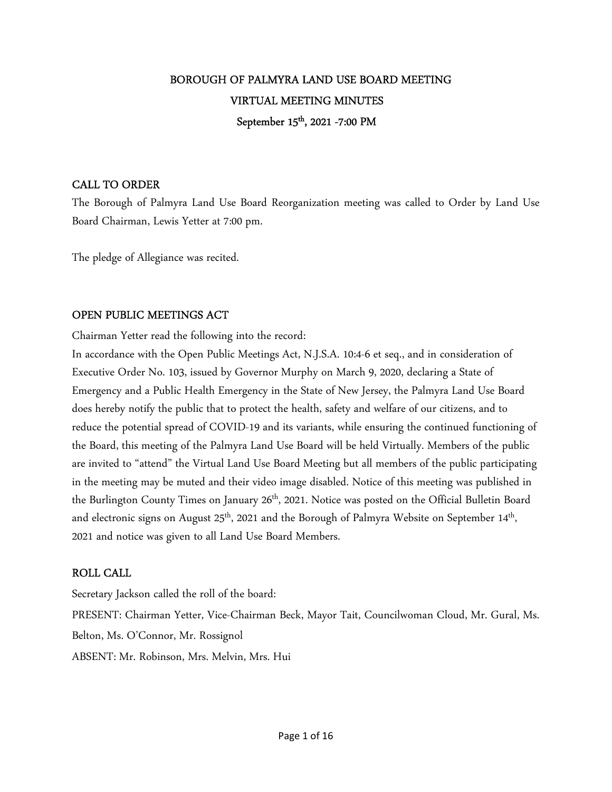# BOROUGH OF PALMYRA LAND USE BOARD MEETING VIRTUAL MEETING MINUTES September 15<sup>th</sup>, 2021 -7:00 PM

## CALL TO ORDER

The Borough of Palmyra Land Use Board Reorganization meeting was called to Order by Land Use Board Chairman, Lewis Yetter at 7:00 pm.

The pledge of Allegiance was recited.

# OPEN PUBLIC MEETINGS ACT

Chairman Yetter read the following into the record:

In accordance with the Open Public Meetings Act, N.J.S.A. 10:4-6 et seq., and in consideration of Executive Order No. 103, issued by Governor Murphy on March 9, 2020, declaring a State of Emergency and a Public Health Emergency in the State of New Jersey, the Palmyra Land Use Board does hereby notify the public that to protect the health, safety and welfare of our citizens, and to reduce the potential spread of COVID-19 and its variants, while ensuring the continued functioning of the Board, this meeting of the Palmyra Land Use Board will be held Virtually. Members of the public are invited to "attend" the Virtual Land Use Board Meeting but all members of the public participating in the meeting may be muted and their video image disabled. Notice of this meeting was published in the Burlington County Times on January 26<sup>th</sup>, 2021. Notice was posted on the Official Bulletin Board and electronic signs on August 25<sup>th</sup>, 2021 and the Borough of Palmyra Website on September 14<sup>th</sup>, 2021 and notice was given to all Land Use Board Members.

# ROLL CALL

Secretary Jackson called the roll of the board: PRESENT: Chairman Yetter, Vice-Chairman Beck, Mayor Tait, Councilwoman Cloud, Mr. Gural, Ms. Belton, Ms. O'Connor, Mr. Rossignol ABSENT: Mr. Robinson, Mrs. Melvin, Mrs. Hui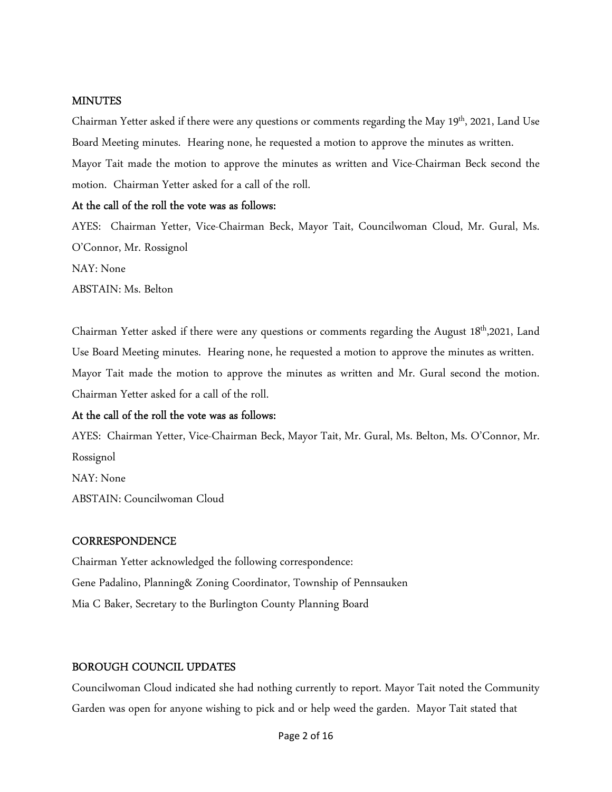### **MINUTES**

Chairman Yetter asked if there were any questions or comments regarding the May 19<sup>th</sup>, 2021, Land Use Board Meeting minutes. Hearing none, he requested a motion to approve the minutes as written. Mayor Tait made the motion to approve the minutes as written and Vice-Chairman Beck second the motion. Chairman Yetter asked for a call of the roll.

### At the call of the roll the vote was as follows:

AYES: Chairman Yetter, Vice-Chairman Beck, Mayor Tait, Councilwoman Cloud, Mr. Gural, Ms. O'Connor, Mr. Rossignol NAY: None ABSTAIN: Ms. Belton

Chairman Yetter asked if there were any questions or comments regarding the August 18<sup>th</sup>,2021, Land Use Board Meeting minutes. Hearing none, he requested a motion to approve the minutes as written. Mayor Tait made the motion to approve the minutes as written and Mr. Gural second the motion. Chairman Yetter asked for a call of the roll.

### At the call of the roll the vote was as follows:

AYES: Chairman Yetter, Vice-Chairman Beck, Mayor Tait, Mr. Gural, Ms. Belton, Ms. O'Connor, Mr. Rossignol NAY: None ABSTAIN: Councilwoman Cloud

#### **CORRESPONDENCE**

Chairman Yetter acknowledged the following correspondence: Gene Padalino, Planning& Zoning Coordinator, Township of Pennsauken Mia C Baker, Secretary to the Burlington County Planning Board

## BOROUGH COUNCIL UPDATES

Councilwoman Cloud indicated she had nothing currently to report. Mayor Tait noted the Community Garden was open for anyone wishing to pick and or help weed the garden. Mayor Tait stated that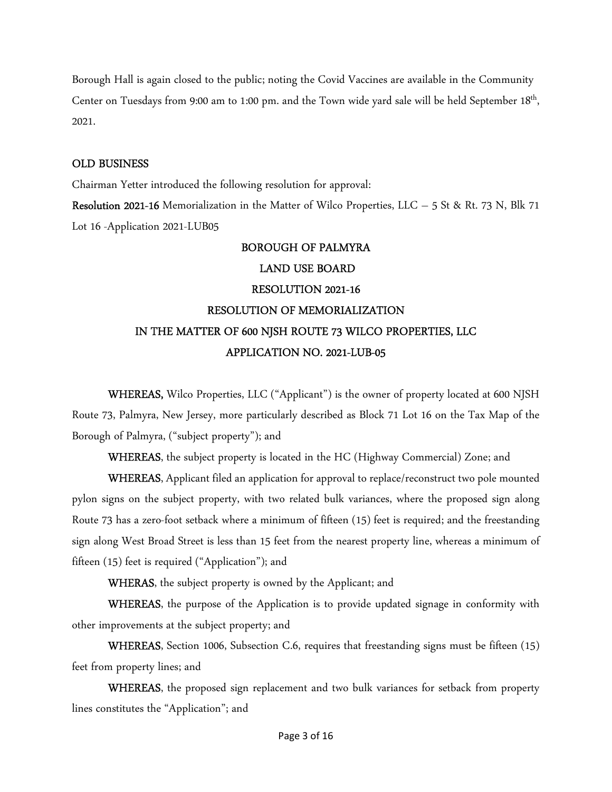Borough Hall is again closed to the public; noting the Covid Vaccines are available in the Community Center on Tuesdays from 9:00 am to 1:00 pm. and the Town wide yard sale will be held September 18<sup>th</sup>, 2021.

### OLD BUSINESS

Chairman Yetter introduced the following resolution for approval:

Resolution 2021-16 Memorialization in the Matter of Wilco Properties, LLC – 5 St & Rt. 73 N, Blk 71 Lot 16 -Application 2021-LUB05

# BOROUGH OF PALMYRA

## LAND USE BOARD

# RESOLUTION 2021-16 RESOLUTION OF MEMORIALIZATION IN THE MATTER OF 600 NJSH ROUTE 73 WILCO PROPERTIES, LLC APPLICATION NO. 2021-LUB-05

WHEREAS, Wilco Properties, LLC ("Applicant") is the owner of property located at 600 NJSH Route 73, Palmyra, New Jersey, more particularly described as Block 71 Lot 16 on the Tax Map of the Borough of Palmyra, ("subject property"); and

WHEREAS, the subject property is located in the HC (Highway Commercial) Zone; and

WHEREAS, Applicant filed an application for approval to replace/reconstruct two pole mounted pylon signs on the subject property, with two related bulk variances, where the proposed sign along Route 73 has a zero-foot setback where a minimum of fifteen (15) feet is required; and the freestanding sign along West Broad Street is less than 15 feet from the nearest property line, whereas a minimum of fifteen (15) feet is required ("Application"); and

WHERAS, the subject property is owned by the Applicant; and

WHEREAS, the purpose of the Application is to provide updated signage in conformity with other improvements at the subject property; and

WHEREAS, Section 1006, Subsection C.6, requires that freestanding signs must be fifteen (15) feet from property lines; and

WHEREAS, the proposed sign replacement and two bulk variances for setback from property lines constitutes the "Application"; and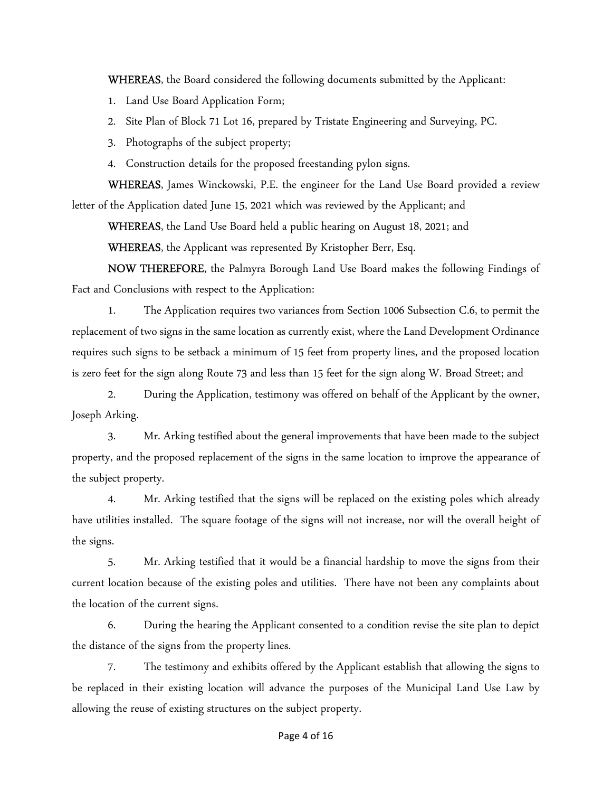WHEREAS, the Board considered the following documents submitted by the Applicant:

- 1. Land Use Board Application Form;
- 2. Site Plan of Block 71 Lot 16, prepared by Tristate Engineering and Surveying, PC.
- 3. Photographs of the subject property;
- 4. Construction details for the proposed freestanding pylon signs.

WHEREAS, James Winckowski, P.E. the engineer for the Land Use Board provided a review letter of the Application dated June 15, 2021 which was reviewed by the Applicant; and

WHEREAS, the Land Use Board held a public hearing on August 18, 2021; and

WHEREAS, the Applicant was represented By Kristopher Berr, Esq.

NOW THEREFORE, the Palmyra Borough Land Use Board makes the following Findings of Fact and Conclusions with respect to the Application:

1. The Application requires two variances from Section 1006 Subsection C.6, to permit the replacement of two signs in the same location as currently exist, where the Land Development Ordinance requires such signs to be setback a minimum of 15 feet from property lines, and the proposed location is zero feet for the sign along Route 73 and less than 15 feet for the sign along W. Broad Street; and

2. During the Application, testimony was offered on behalf of the Applicant by the owner, Joseph Arking.

3. Mr. Arking testified about the general improvements that have been made to the subject property, and the proposed replacement of the signs in the same location to improve the appearance of the subject property.

4. Mr. Arking testified that the signs will be replaced on the existing poles which already have utilities installed. The square footage of the signs will not increase, nor will the overall height of the signs.

5. Mr. Arking testified that it would be a financial hardship to move the signs from their current location because of the existing poles and utilities. There have not been any complaints about the location of the current signs.

6. During the hearing the Applicant consented to a condition revise the site plan to depict the distance of the signs from the property lines.

 7. The testimony and exhibits offered by the Applicant establish that allowing the signs to be replaced in their existing location will advance the purposes of the Municipal Land Use Law by allowing the reuse of existing structures on the subject property.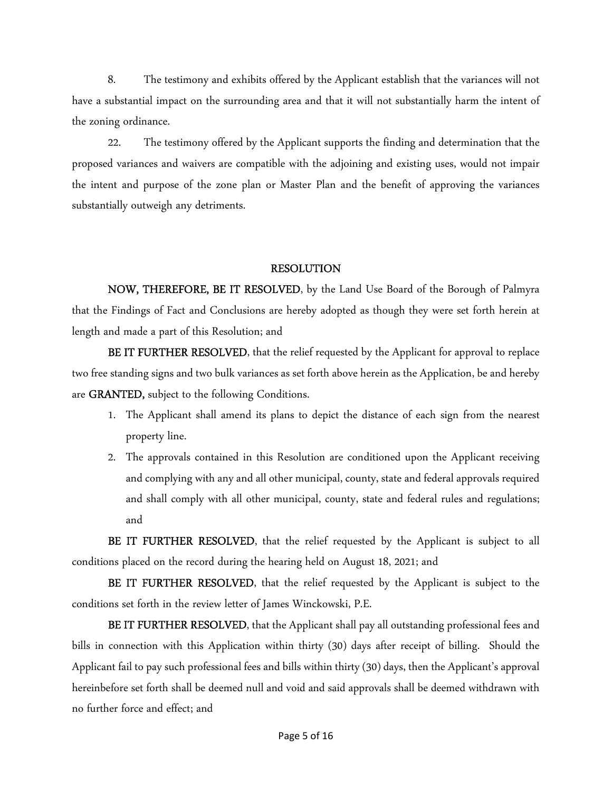8. The testimony and exhibits offered by the Applicant establish that the variances will not have a substantial impact on the surrounding area and that it will not substantially harm the intent of the zoning ordinance.

22. The testimony offered by the Applicant supports the finding and determination that the proposed variances and waivers are compatible with the adjoining and existing uses, would not impair the intent and purpose of the zone plan or Master Plan and the benefit of approving the variances substantially outweigh any detriments.

### RESOLUTION

NOW, THEREFORE, BE IT RESOLVED, by the Land Use Board of the Borough of Palmyra that the Findings of Fact and Conclusions are hereby adopted as though they were set forth herein at length and made a part of this Resolution; and

BE IT FURTHER RESOLVED, that the relief requested by the Applicant for approval to replace two free standing signs and two bulk variances as set forth above herein as the Application, be and hereby are GRANTED, subject to the following Conditions.

- 1. The Applicant shall amend its plans to depict the distance of each sign from the nearest property line.
- 2. The approvals contained in this Resolution are conditioned upon the Applicant receiving and complying with any and all other municipal, county, state and federal approvals required and shall comply with all other municipal, county, state and federal rules and regulations; and

BE IT FURTHER RESOLVED, that the relief requested by the Applicant is subject to all conditions placed on the record during the hearing held on August 18, 2021; and

BE IT FURTHER RESOLVED, that the relief requested by the Applicant is subject to the conditions set forth in the review letter of James Winckowski, P.E.

BE IT FURTHER RESOLVED, that the Applicant shall pay all outstanding professional fees and bills in connection with this Application within thirty (30) days after receipt of billing. Should the Applicant fail to pay such professional fees and bills within thirty (30) days, then the Applicant's approval hereinbefore set forth shall be deemed null and void and said approvals shall be deemed withdrawn with no further force and effect; and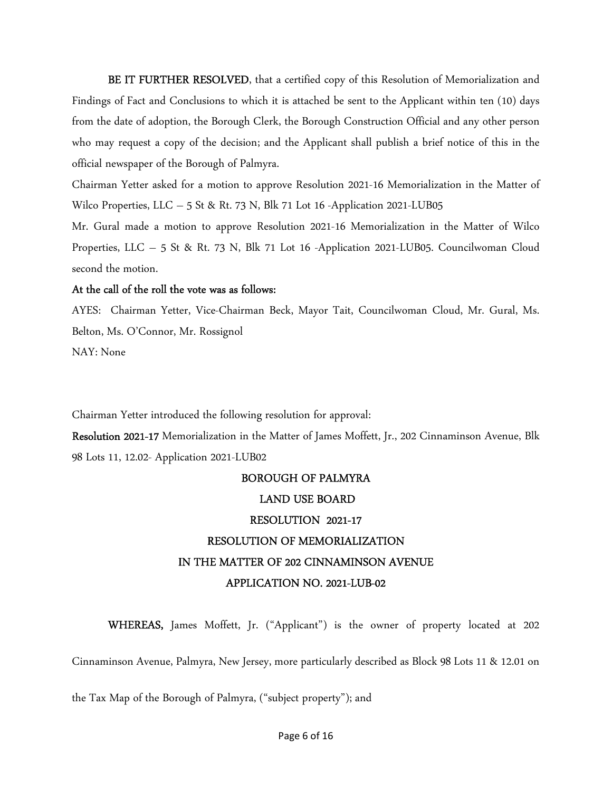BE IT FURTHER RESOLVED, that a certified copy of this Resolution of Memorialization and Findings of Fact and Conclusions to which it is attached be sent to the Applicant within ten (10) days from the date of adoption, the Borough Clerk, the Borough Construction Official and any other person who may request a copy of the decision; and the Applicant shall publish a brief notice of this in the official newspaper of the Borough of Palmyra.

Chairman Yetter asked for a motion to approve Resolution 2021-16 Memorialization in the Matter of Wilco Properties, LLC – 5 St & Rt. 73 N, Blk 71 Lot 16 -Application 2021-LUB05

Mr. Gural made a motion to approve Resolution 2021-16 Memorialization in the Matter of Wilco Properties, LLC – 5 St & Rt. 73 N, Blk 71 Lot 16 -Application 2021-LUB05. Councilwoman Cloud second the motion.

### At the call of the roll the vote was as follows:

AYES: Chairman Yetter, Vice-Chairman Beck, Mayor Tait, Councilwoman Cloud, Mr. Gural, Ms. Belton, Ms. O'Connor, Mr. Rossignol NAY: None

Chairman Yetter introduced the following resolution for approval:

Resolution 2021-17 Memorialization in the Matter of James Moffett, Jr., 202 Cinnaminson Avenue, Blk 98 Lots 11, 12.02- Application 2021-LUB02

# BOROUGH OF PALMYRA LAND USE BOARD RESOLUTION 2021-17 RESOLUTION OF MEMORIALIZATION IN THE MATTER OF 202 CINNAMINSON AVENUE APPLICATION NO. 2021-LUB-02

WHEREAS, James Moffett, Jr. ("Applicant") is the owner of property located at 202

Cinnaminson Avenue, Palmyra, New Jersey, more particularly described as Block 98 Lots 11 & 12.01 on

the Tax Map of the Borough of Palmyra, ("subject property"); and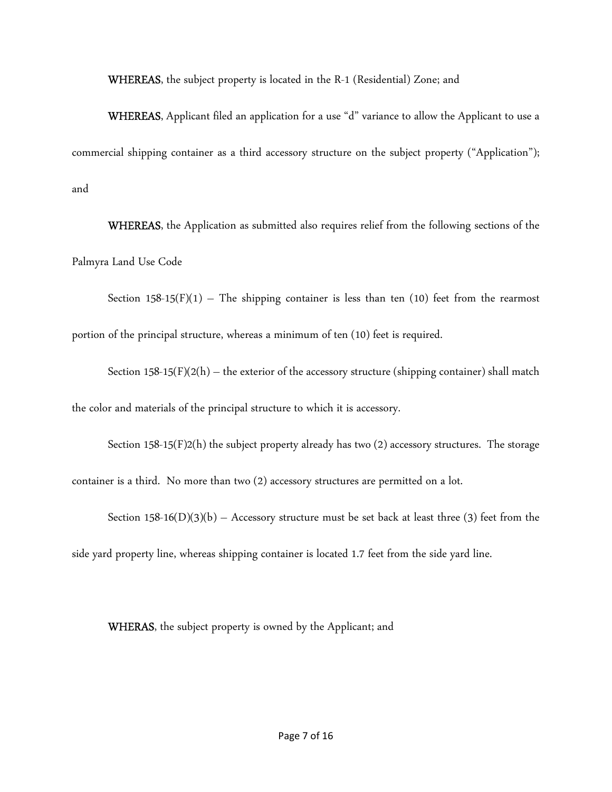WHEREAS, the subject property is located in the R-1 (Residential) Zone; and

WHEREAS, Applicant filed an application for a use "d" variance to allow the Applicant to use a commercial shipping container as a third accessory structure on the subject property ("Application"); and

WHEREAS, the Application as submitted also requires relief from the following sections of the Palmyra Land Use Code

Section 158-15(F)(1) – The shipping container is less than ten (10) feet from the rearmost portion of the principal structure, whereas a minimum of ten (10) feet is required.

Section 158-15(F)(2(h) – the exterior of the accessory structure (shipping container) shall match the color and materials of the principal structure to which it is accessory.

Section 158-15(F)2(h) the subject property already has two (2) accessory structures. The storage container is a third. No more than two (2) accessory structures are permitted on a lot.

Section 158-16(D)(3)(b) – Accessory structure must be set back at least three (3) feet from the side yard property line, whereas shipping container is located 1.7 feet from the side yard line.

WHERAS, the subject property is owned by the Applicant; and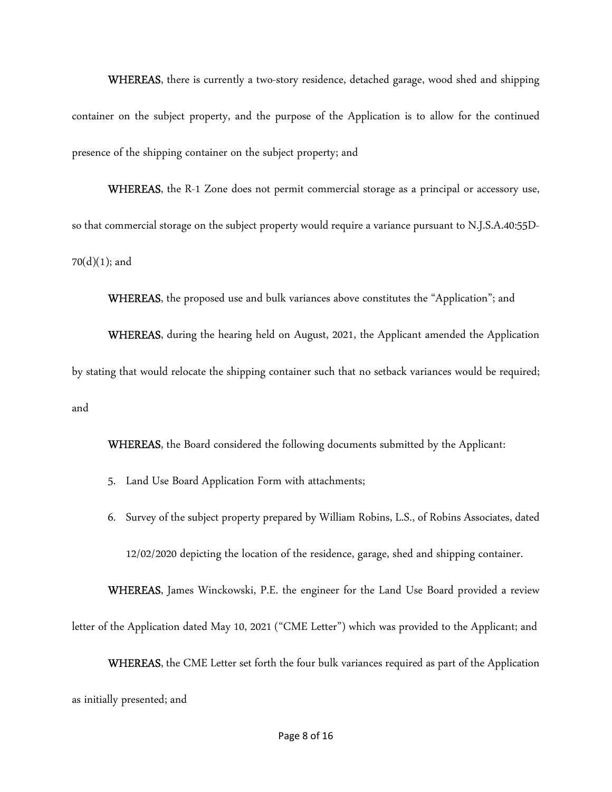WHEREAS, there is currently a two-story residence, detached garage, wood shed and shipping container on the subject property, and the purpose of the Application is to allow for the continued presence of the shipping container on the subject property; and

WHEREAS, the R-1 Zone does not permit commercial storage as a principal or accessory use, so that commercial storage on the subject property would require a variance pursuant to N.J.S.A.40:55D- $70(d)(1)$ ; and

WHEREAS, the proposed use and bulk variances above constitutes the "Application"; and

WHEREAS, during the hearing held on August, 2021, the Applicant amended the Application by stating that would relocate the shipping container such that no setback variances would be required; and

WHEREAS, the Board considered the following documents submitted by the Applicant:

- 5. Land Use Board Application Form with attachments;
- 6. Survey of the subject property prepared by William Robins, L.S., of Robins Associates, dated 12/02/2020 depicting the location of the residence, garage, shed and shipping container.

WHEREAS, James Winckowski, P.E. the engineer for the Land Use Board provided a review letter of the Application dated May 10, 2021 ("CME Letter") which was provided to the Applicant; and

WHEREAS, the CME Letter set forth the four bulk variances required as part of the Application as initially presented; and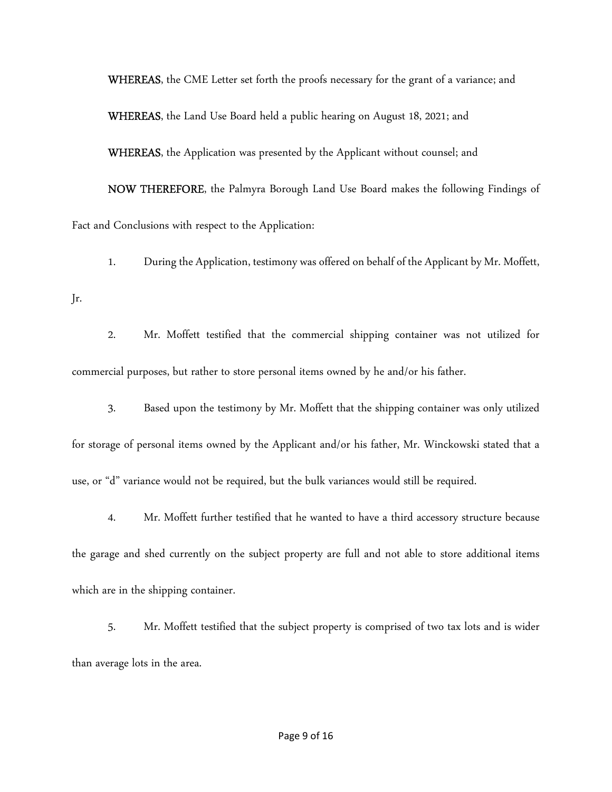WHEREAS, the CME Letter set forth the proofs necessary for the grant of a variance; and WHEREAS, the Land Use Board held a public hearing on August 18, 2021; and WHEREAS, the Application was presented by the Applicant without counsel; and NOW THEREFORE, the Palmyra Borough Land Use Board makes the following Findings of

Fact and Conclusions with respect to the Application:

Jr.

1. During the Application, testimony was offered on behalf of the Applicant by Mr. Moffett,

2. Mr. Moffett testified that the commercial shipping container was not utilized for commercial purposes, but rather to store personal items owned by he and/or his father.

3. Based upon the testimony by Mr. Moffett that the shipping container was only utilized for storage of personal items owned by the Applicant and/or his father, Mr. Winckowski stated that a use, or "d" variance would not be required, but the bulk variances would still be required.

4. Mr. Moffett further testified that he wanted to have a third accessory structure because the garage and shed currently on the subject property are full and not able to store additional items which are in the shipping container.

5. Mr. Moffett testified that the subject property is comprised of two tax lots and is wider than average lots in the area.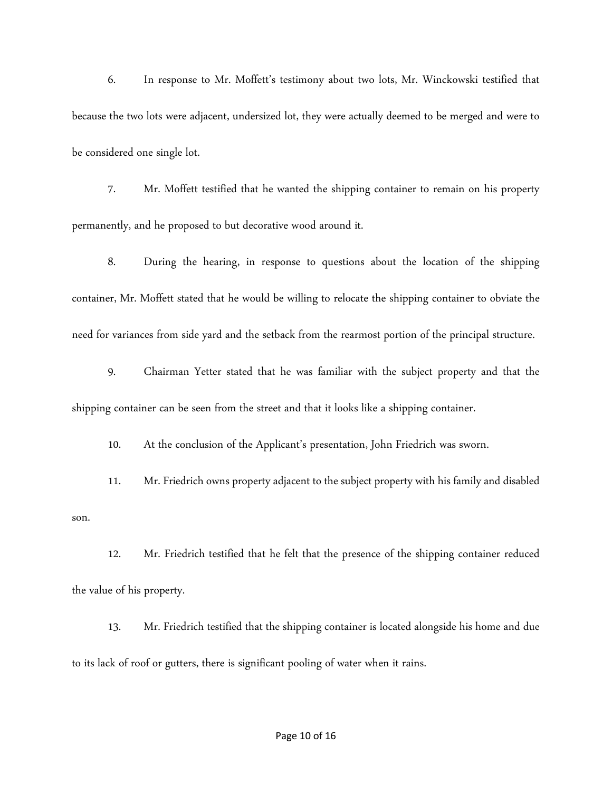6. In response to Mr. Moffett's testimony about two lots, Mr. Winckowski testified that because the two lots were adjacent, undersized lot, they were actually deemed to be merged and were to be considered one single lot.

7. Mr. Moffett testified that he wanted the shipping container to remain on his property permanently, and he proposed to but decorative wood around it.

8. During the hearing, in response to questions about the location of the shipping container, Mr. Moffett stated that he would be willing to relocate the shipping container to obviate the need for variances from side yard and the setback from the rearmost portion of the principal structure.

9. Chairman Yetter stated that he was familiar with the subject property and that the shipping container can be seen from the street and that it looks like a shipping container.

10. At the conclusion of the Applicant's presentation, John Friedrich was sworn.

11. Mr. Friedrich owns property adjacent to the subject property with his family and disabled son.

12. Mr. Friedrich testified that he felt that the presence of the shipping container reduced the value of his property.

13. Mr. Friedrich testified that the shipping container is located alongside his home and due to its lack of roof or gutters, there is significant pooling of water when it rains.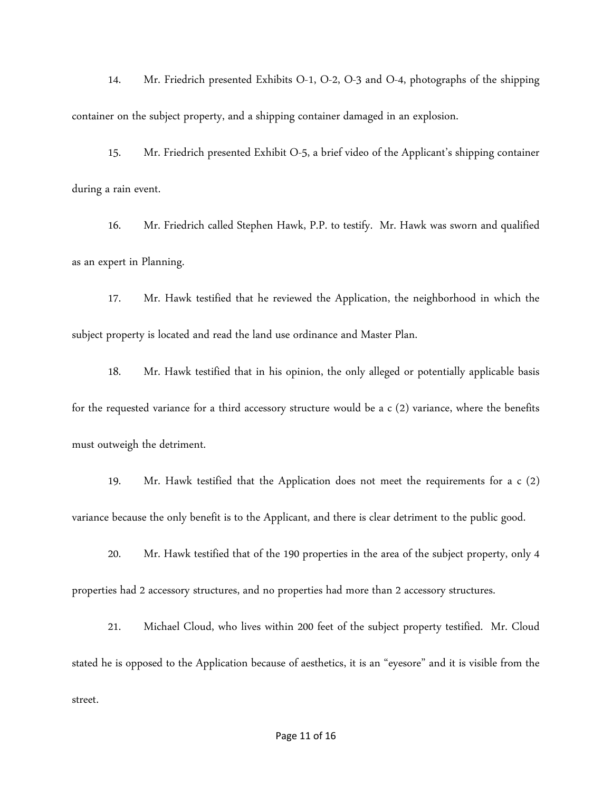14. Mr. Friedrich presented Exhibits O-1, O-2, O-3 and O-4, photographs of the shipping container on the subject property, and a shipping container damaged in an explosion.

15. Mr. Friedrich presented Exhibit O-5, a brief video of the Applicant's shipping container during a rain event.

16. Mr. Friedrich called Stephen Hawk, P.P. to testify. Mr. Hawk was sworn and qualified as an expert in Planning.

17. Mr. Hawk testified that he reviewed the Application, the neighborhood in which the subject property is located and read the land use ordinance and Master Plan.

18. Mr. Hawk testified that in his opinion, the only alleged or potentially applicable basis for the requested variance for a third accessory structure would be a c (2) variance, where the benefits must outweigh the detriment.

19. Mr. Hawk testified that the Application does not meet the requirements for a c (2) variance because the only benefit is to the Applicant, and there is clear detriment to the public good.

20. Mr. Hawk testified that of the 190 properties in the area of the subject property, only 4

properties had 2 accessory structures, and no properties had more than 2 accessory structures.

21. Michael Cloud, who lives within 200 feet of the subject property testified. Mr. Cloud stated he is opposed to the Application because of aesthetics, it is an "eyesore" and it is visible from the street.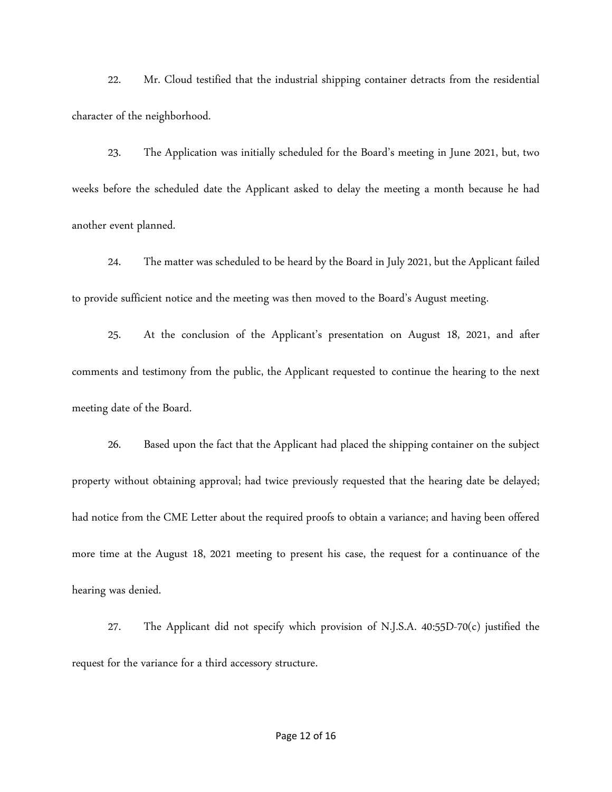22. Mr. Cloud testified that the industrial shipping container detracts from the residential character of the neighborhood.

 23. The Application was initially scheduled for the Board's meeting in June 2021, but, two weeks before the scheduled date the Applicant asked to delay the meeting a month because he had another event planned.

24. The matter was scheduled to be heard by the Board in July 2021, but the Applicant failed to provide sufficient notice and the meeting was then moved to the Board's August meeting.

 25. At the conclusion of the Applicant's presentation on August 18, 2021, and after comments and testimony from the public, the Applicant requested to continue the hearing to the next meeting date of the Board.

 26. Based upon the fact that the Applicant had placed the shipping container on the subject property without obtaining approval; had twice previously requested that the hearing date be delayed; had notice from the CME Letter about the required proofs to obtain a variance; and having been offered more time at the August 18, 2021 meeting to present his case, the request for a continuance of the hearing was denied.

27. The Applicant did not specify which provision of N.J.S.A.  $40:55D-70(c)$  justified the request for the variance for a third accessory structure.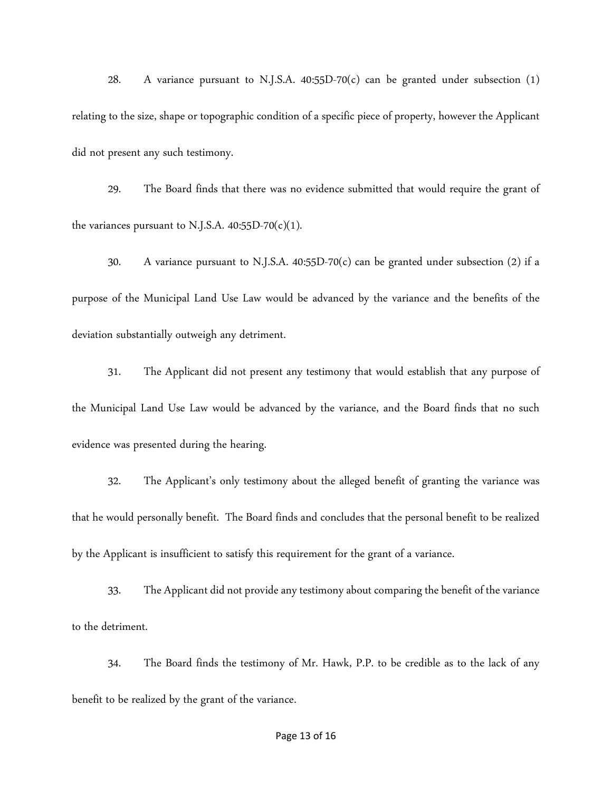28. A variance pursuant to N.J.S.A.  $40:55D-70(c)$  can be granted under subsection (1) relating to the size, shape or topographic condition of a specific piece of property, however the Applicant did not present any such testimony.

 29. The Board finds that there was no evidence submitted that would require the grant of the variances pursuant to N.J.S.A.  $40:55D-70(c)(1)$ .

30. A variance pursuant to N.J.S.A. 40:55D-70(c) can be granted under subsection (2) if a purpose of the Municipal Land Use Law would be advanced by the variance and the benefits of the deviation substantially outweigh any detriment.

 31. The Applicant did not present any testimony that would establish that any purpose of the Municipal Land Use Law would be advanced by the variance, and the Board finds that no such evidence was presented during the hearing.

 32. The Applicant's only testimony about the alleged benefit of granting the variance was that he would personally benefit. The Board finds and concludes that the personal benefit to be realized by the Applicant is insufficient to satisfy this requirement for the grant of a variance.

 33. The Applicant did not provide any testimony about comparing the benefit of the variance to the detriment.

 34. The Board finds the testimony of Mr. Hawk, P.P. to be credible as to the lack of any benefit to be realized by the grant of the variance.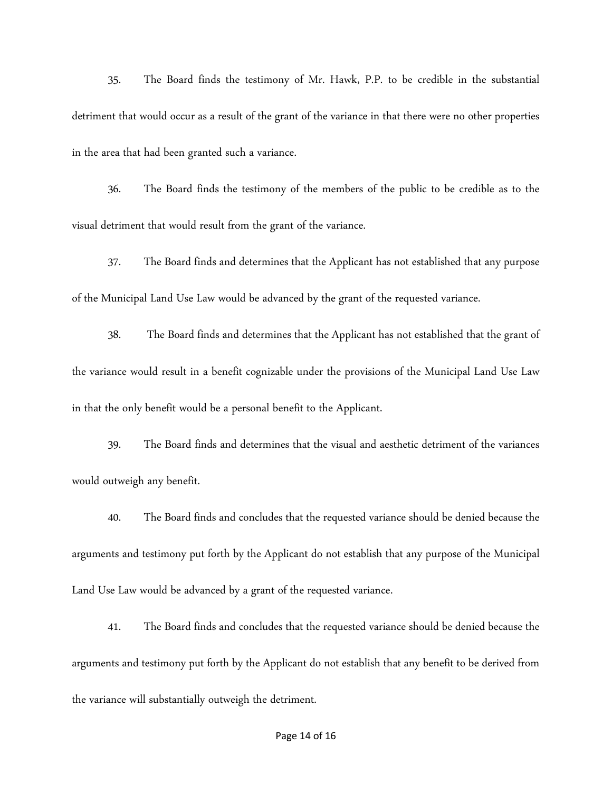35. The Board finds the testimony of Mr. Hawk, P.P. to be credible in the substantial detriment that would occur as a result of the grant of the variance in that there were no other properties in the area that had been granted such a variance.

 36. The Board finds the testimony of the members of the public to be credible as to the visual detriment that would result from the grant of the variance.

 37. The Board finds and determines that the Applicant has not established that any purpose of the Municipal Land Use Law would be advanced by the grant of the requested variance.

 38. The Board finds and determines that the Applicant has not established that the grant of the variance would result in a benefit cognizable under the provisions of the Municipal Land Use Law in that the only benefit would be a personal benefit to the Applicant.

 39. The Board finds and determines that the visual and aesthetic detriment of the variances would outweigh any benefit.

 40. The Board finds and concludes that the requested variance should be denied because the arguments and testimony put forth by the Applicant do not establish that any purpose of the Municipal Land Use Law would be advanced by a grant of the requested variance.

 41. The Board finds and concludes that the requested variance should be denied because the arguments and testimony put forth by the Applicant do not establish that any benefit to be derived from the variance will substantially outweigh the detriment.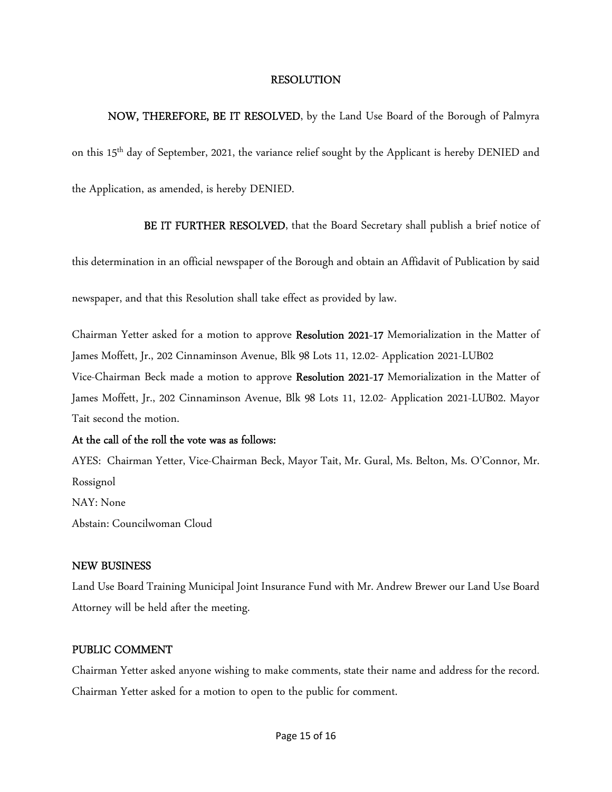### RESOLUTION

NOW, THEREFORE, BE IT RESOLVED, by the Land Use Board of the Borough of Palmyra on this 15th day of September, 2021, the variance relief sought by the Applicant is hereby DENIED and the Application, as amended, is hereby DENIED.

BE IT FURTHER RESOLVED, that the Board Secretary shall publish a brief notice of

this determination in an official newspaper of the Borough and obtain an Affidavit of Publication by said

newspaper, and that this Resolution shall take effect as provided by law.

Chairman Yetter asked for a motion to approve Resolution 2021-17 Memorialization in the Matter of James Moffett, Jr., 202 Cinnaminson Avenue, Blk 98 Lots 11, 12.02- Application 2021-LUB02 Vice-Chairman Beck made a motion to approve Resolution 2021-17 Memorialization in the Matter of James Moffett, Jr., 202 Cinnaminson Avenue, Blk 98 Lots 11, 12.02- Application 2021-LUB02. Mayor Tait second the motion.

### At the call of the roll the vote was as follows:

AYES: Chairman Yetter, Vice-Chairman Beck, Mayor Tait, Mr. Gural, Ms. Belton, Ms. O'Connor, Mr. Rossignol NAY: None Abstain: Councilwoman Cloud

## NEW BUSINESS

Land Use Board Training Municipal Joint Insurance Fund with Mr. Andrew Brewer our Land Use Board Attorney will be held after the meeting.

### PUBLIC COMMENT

Chairman Yetter asked anyone wishing to make comments, state their name and address for the record. Chairman Yetter asked for a motion to open to the public for comment.